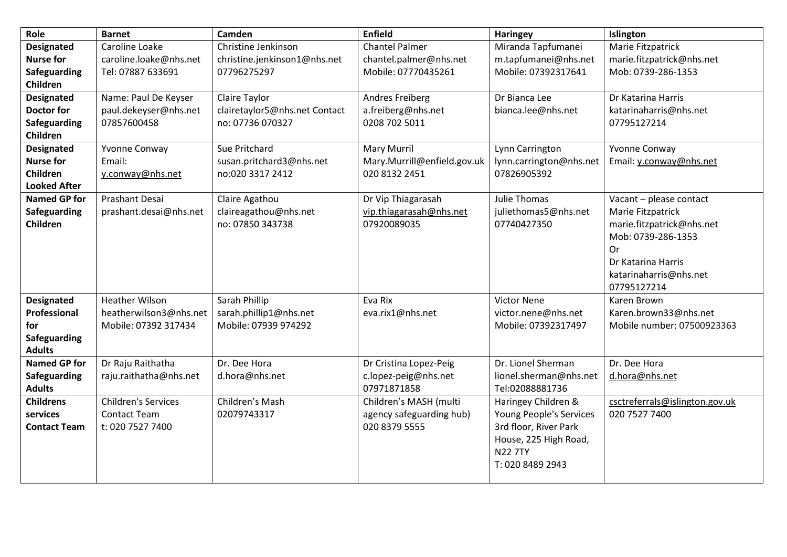| Role                                                                                  | <b>Barnet</b>                                                           | Camden                                                             | <b>Enfield</b>                                                         | <b>Haringey</b>                                                                                                                        | Islington                                                                                                                                                                   |
|---------------------------------------------------------------------------------------|-------------------------------------------------------------------------|--------------------------------------------------------------------|------------------------------------------------------------------------|----------------------------------------------------------------------------------------------------------------------------------------|-----------------------------------------------------------------------------------------------------------------------------------------------------------------------------|
| <b>Designated</b><br><b>Nurse for</b><br><b>Safeguarding</b>                          | Caroline Loake<br>caroline.loake@nhs.net<br>Tel: 07887 633691           | Christine Jenkinson<br>christine.jenkinson1@nhs.net<br>07796275297 | <b>Chantel Palmer</b><br>chantel.palmer@nhs.net<br>Mobile: 07770435261 | Miranda Tapfumanei<br>m.tapfumanei@nhs.net<br>Mobile: 07392317641                                                                      | Marie Fitzpatrick<br>marie.fitzpatrick@nhs.net<br>Mob: 0739-286-1353                                                                                                        |
| Children<br><b>Designated</b><br><b>Doctor for</b><br><b>Safeguarding</b><br>Children | Name: Paul De Keyser<br>paul.dekeyser@nhs.net<br>07857600458            | Claire Taylor<br>clairetaylor5@nhs.net Contact<br>no: 07736 070327 | <b>Andres Freiberg</b><br>a.freiberg@nhs.net<br>0208 702 5011          | Dr Bianca Lee<br>bianca.lee@nhs.net                                                                                                    | Dr Katarina Harris<br>katarinaharris@nhs.net<br>07795127214                                                                                                                 |
| <b>Designated</b><br><b>Nurse for</b><br>Children<br><b>Looked After</b>              | Yvonne Conway<br>Email:<br>y.conway@nhs.net                             | Sue Pritchard<br>susan.pritchard3@nhs.net<br>no:020 3317 2412      | <b>Mary Murril</b><br>Mary.Murrill@enfield.gov.uk<br>020 8132 2451     | Lynn Carrington<br>lynn.carrington@nhs.net<br>07826905392                                                                              | Yvonne Conway<br>Email: y.conway@nhs.net                                                                                                                                    |
| <b>Named GP for</b><br><b>Safeguarding</b><br>Children                                | Prashant Desai<br>prashant.desai@nhs.net                                | Claire Agathou<br>claireagathou@nhs.net<br>no: 07850 343738        | Dr Vip Thiagarasah<br>vip.thiagarasah@nhs.net<br>07920089035           | Julie Thomas<br>juliethomas5@nhs.net<br>07740427350                                                                                    | Vacant - please contact<br>Marie Fitzpatrick<br>marie.fitzpatrick@nhs.net<br>Mob: 0739-286-1353<br><b>Or</b><br>Dr Katarina Harris<br>katarinaharris@nhs.net<br>07795127214 |
| <b>Designated</b><br>Professional<br>for<br><b>Safeguarding</b><br><b>Adults</b>      | <b>Heather Wilson</b><br>heatherwilson3@nhs.net<br>Mobile: 07392 317434 | Sarah Phillip<br>sarah.phillip1@nhs.net<br>Mobile: 07939 974292    | Eva Rix<br>eva.rix1@nhs.net                                            | <b>Victor Nene</b><br>victor.nene@nhs.net<br>Mobile: 07392317497                                                                       | Karen Brown<br>Karen.brown33@nhs.net<br>Mobile number: 07500923363                                                                                                          |
| <b>Named GP for</b><br>Safeguarding<br><b>Adults</b>                                  | Dr Raju Raithatha<br>raju.raithatha@nhs.net                             | Dr. Dee Hora<br>d.hora@nhs.net                                     | Dr Cristina Lopez-Peig<br>c.lopez-peig@nhs.net<br>07971871858          | Dr. Lionel Sherman<br>lionel.sherman@nhs.net<br>Tel:02088881736                                                                        | Dr. Dee Hora<br>d.hora@nhs.net                                                                                                                                              |
| <b>Childrens</b><br>services<br><b>Contact Team</b>                                   | <b>Children's Services</b><br><b>Contact Team</b><br>t: 020 7527 7400   | Children's Mash<br>02079743317                                     | Children's MASH (multi<br>agency safeguarding hub)<br>020 8379 5555    | Haringey Children &<br>Young People's Services<br>3rd floor, River Park<br>House, 225 High Road,<br><b>N22 7TY</b><br>T: 020 8489 2943 | csctreferrals@islington.gov.uk<br>020 7527 7400                                                                                                                             |